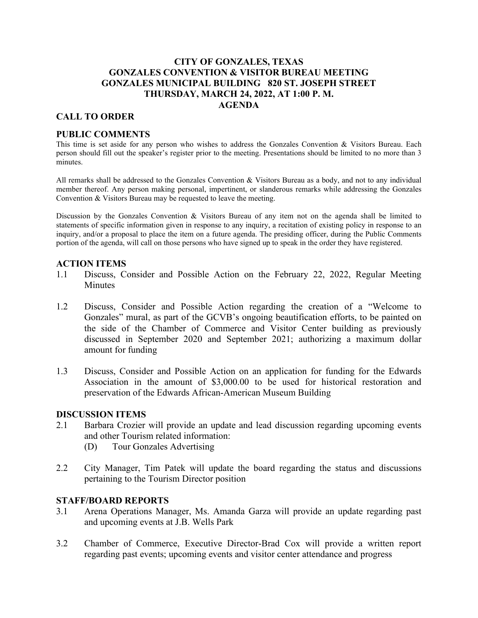# **CITY OF GONZALES, TEXAS GONZALES CONVENTION & VISITOR BUREAU MEETING GONZALES MUNICIPAL BUILDING 820 ST. JOSEPH STREET THURSDAY, MARCH 24, 2022, AT 1:00 P. M. AGENDA**

# **CALL TO ORDER**

## **PUBLIC COMMENTS**

This time is set aside for any person who wishes to address the Gonzales Convention & Visitors Bureau. Each person should fill out the speaker's register prior to the meeting. Presentations should be limited to no more than 3 minutes.

All remarks shall be addressed to the Gonzales Convention & Visitors Bureau as a body, and not to any individual member thereof. Any person making personal, impertinent, or slanderous remarks while addressing the Gonzales Convention & Visitors Bureau may be requested to leave the meeting.

Discussion by the Gonzales Convention & Visitors Bureau of any item not on the agenda shall be limited to statements of specific information given in response to any inquiry, a recitation of existing policy in response to an inquiry, and/or a proposal to place the item on a future agenda. The presiding officer, during the Public Comments portion of the agenda, will call on those persons who have signed up to speak in the order they have registered.

### **ACTION ITEMS**

- 1.1 Discuss, Consider and Possible Action on the February 22, 2022, Regular Meeting **Minutes**
- 1.2 Discuss, Consider and Possible Action regarding the creation of a "Welcome to Gonzales" mural, as part of the GCVB's ongoing beautification efforts, to be painted on the side of the Chamber of Commerce and Visitor Center building as previously discussed in September 2020 and September 2021; authorizing a maximum dollar amount for funding
- 1.3 Discuss, Consider and Possible Action on an application for funding for the Edwards Association in the amount of \$3,000.00 to be used for historical restoration and preservation of the Edwards African-American Museum Building

#### **DISCUSSION ITEMS**

- 2.1 Barbara Crozier will provide an update and lead discussion regarding upcoming events and other Tourism related information: (D) Tour Gonzales Advertising
	-
- 2.2 City Manager, Tim Patek will update the board regarding the status and discussions pertaining to the Tourism Director position

#### **STAFF/BOARD REPORTS**

- 3.1 Arena Operations Manager, Ms. Amanda Garza will provide an update regarding past and upcoming events at J.B. Wells Park
- 3.2 Chamber of Commerce, Executive Director-Brad Cox will provide a written report regarding past events; upcoming events and visitor center attendance and progress